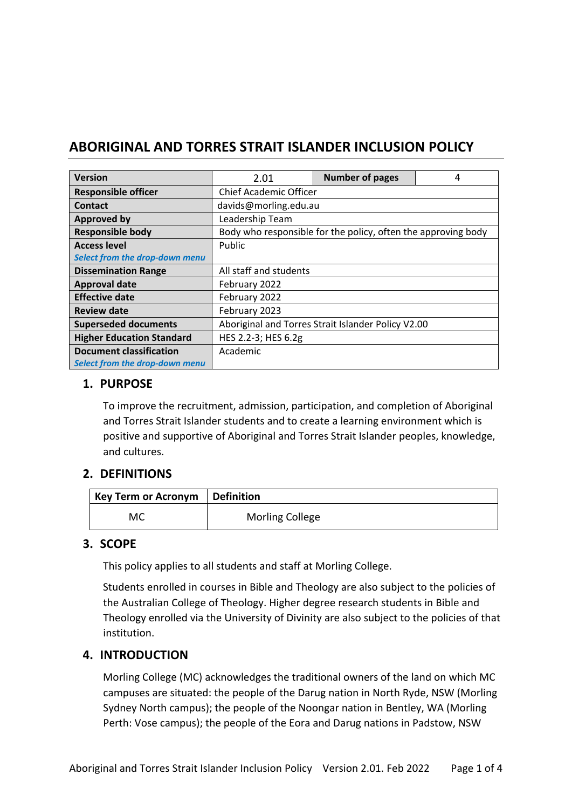# **ABORIGINAL AND TORRES STRAIT ISLANDER INCLUSION POLICY**

| <b>Version</b>                   | 2.01                                                          | <b>Number of pages</b> | 4 |  |  |
|----------------------------------|---------------------------------------------------------------|------------------------|---|--|--|
| <b>Responsible officer</b>       | Chief Academic Officer                                        |                        |   |  |  |
| Contact                          | davids@morling.edu.au                                         |                        |   |  |  |
| <b>Approved by</b>               | Leadership Team                                               |                        |   |  |  |
| <b>Responsible body</b>          | Body who responsible for the policy, often the approving body |                        |   |  |  |
| <b>Access level</b>              | Public                                                        |                        |   |  |  |
| Select from the drop-down menu   |                                                               |                        |   |  |  |
| <b>Dissemination Range</b>       | All staff and students                                        |                        |   |  |  |
| <b>Approval date</b>             | February 2022                                                 |                        |   |  |  |
| <b>Effective date</b>            | February 2022                                                 |                        |   |  |  |
| <b>Review date</b>               | February 2023                                                 |                        |   |  |  |
| <b>Superseded documents</b>      | Aboriginal and Torres Strait Islander Policy V2.00            |                        |   |  |  |
| <b>Higher Education Standard</b> | HES 2.2-3; HES 6.2g                                           |                        |   |  |  |
| <b>Document classification</b>   | Academic                                                      |                        |   |  |  |
| Select from the drop-down menu   |                                                               |                        |   |  |  |

#### **1. PURPOSE**

To improve the recruitment, admission, participation, and completion of Aboriginal and Torres Strait Islander students and to create a learning environment which is positive and supportive of Aboriginal and Torres Strait Islander peoples, knowledge, and cultures.

### **2. DEFINITIONS**

| <b>Key Term or Acronym</b>   Definition |                        |
|-----------------------------------------|------------------------|
| МC                                      | <b>Morling College</b> |

### **3. SCOPE**

This policy applies to all students and staff at Morling College.

Students enrolled in courses in Bible and Theology are also subject to the policies of the Australian College of Theology. Higher degree research students in Bible and Theology enrolled via the University of Divinity are also subject to the policies of that institution.

## **4. INTRODUCTION**

Morling College (MC) acknowledges the traditional owners of the land on which MC campuses are situated: the people of the Darug nation in North Ryde, NSW (Morling Sydney North campus); the people of the Noongar nation in Bentley, WA (Morling Perth: Vose campus); the people of the Eora and Darug nations in Padstow, NSW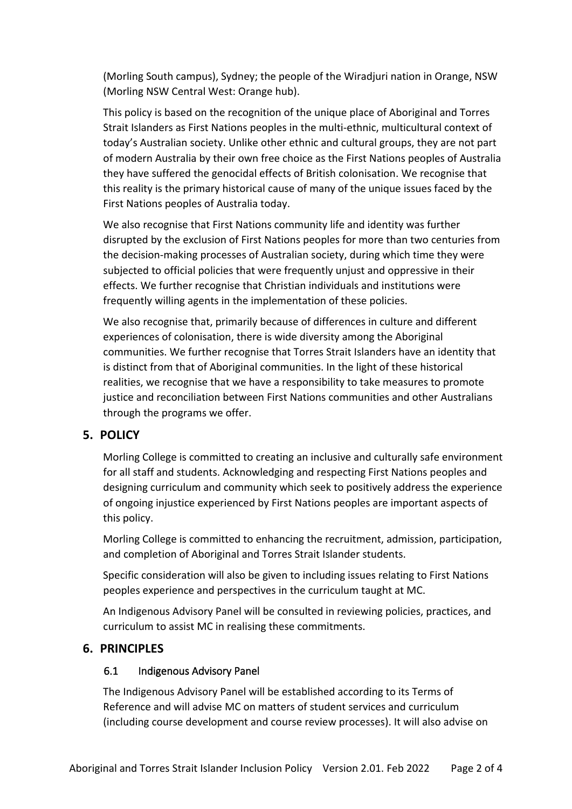(Morling South campus), Sydney; the people of the Wiradjuri nation in Orange, NSW (Morling NSW Central West: Orange hub).

This policy is based on the recognition of the unique place of Aboriginal and Torres Strait Islanders as First Nations peoples in the multi-ethnic, multicultural context of today's Australian society. Unlike other ethnic and cultural groups, they are not part of modern Australia by their own free choice as the First Nations peoples of Australia they have suffered the genocidal effects of British colonisation. We recognise that this reality is the primary historical cause of many of the unique issues faced by the First Nations peoples of Australia today.

We also recognise that First Nations community life and identity was further disrupted by the exclusion of First Nations peoples for more than two centuries from the decision-making processes of Australian society, during which time they were subjected to official policies that were frequently unjust and oppressive in their effects. We further recognise that Christian individuals and institutions were frequently willing agents in the implementation of these policies.

We also recognise that, primarily because of differences in culture and different experiences of colonisation, there is wide diversity among the Aboriginal communities. We further recognise that Torres Strait Islanders have an identity that is distinct from that of Aboriginal communities. In the light of these historical realities, we recognise that we have a responsibility to take measures to promote justice and reconciliation between First Nations communities and other Australians through the programs we offer.

### **5. POLICY**

Morling College is committed to creating an inclusive and culturally safe environment for all staff and students. Acknowledging and respecting First Nations peoples and designing curriculum and community which seek to positively address the experience of ongoing injustice experienced by First Nations peoples are important aspects of this policy.

Morling College is committed to enhancing the recruitment, admission, participation, and completion of Aboriginal and Torres Strait Islander students.

Specific consideration will also be given to including issues relating to First Nations peoples experience and perspectives in the curriculum taught at MC.

An Indigenous Advisory Panel will be consulted in reviewing policies, practices, and curriculum to assist MC in realising these commitments.

#### **6. PRINCIPLES**

#### 6.1 Indigenous Advisory Panel

The Indigenous Advisory Panel will be established according to its Terms of Reference and will advise MC on matters of student services and curriculum (including course development and course review processes). It will also advise on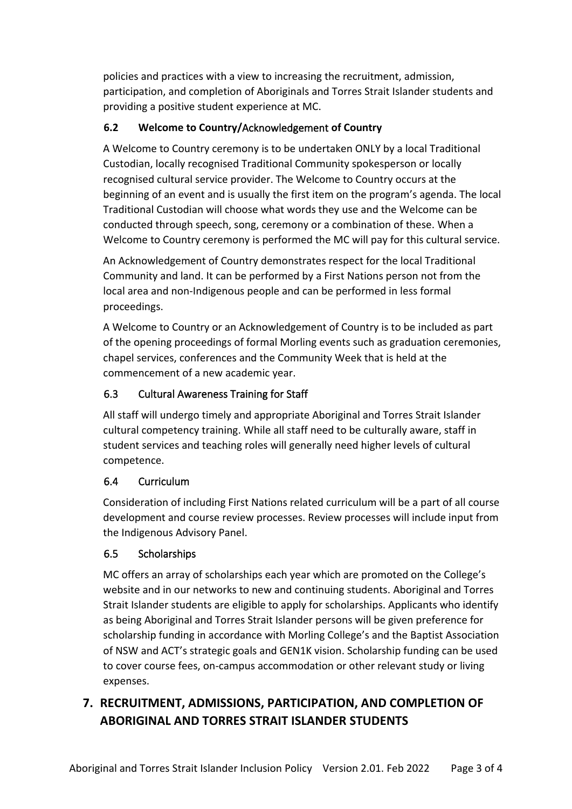policies and practices with a view to increasing the recruitment, admission, participation, and completion of Aboriginals and Torres Strait Islander students and providing a positive student experience at MC.

### **6.2 Welcome to Country/**Acknowledgement **of Country**

A Welcome to Country ceremony is to be undertaken ONLY by a local Traditional Custodian, locally recognised Traditional Community spokesperson or locally recognised cultural service provider. The Welcome to Country occurs at the beginning of an event and is usually the first item on the program's agenda. The local Traditional Custodian will choose what words they use and the Welcome can be conducted through speech, song, ceremony or a combination of these. When a Welcome to Country ceremony is performed the MC will pay for this cultural service.

An Acknowledgement of Country demonstrates respect for the local Traditional Community and land. It can be performed by a First Nations person not from the local area and non-Indigenous people and can be performed in less formal proceedings.

A Welcome to Country or an Acknowledgement of Country is to be included as part of the opening proceedings of formal Morling events such as graduation ceremonies, chapel services, conferences and the Community Week that is held at the commencement of a new academic year.

## 6.3 Cultural Awareness Training for Staff

All staff will undergo timely and appropriate Aboriginal and Torres Strait Islander cultural competency training. While all staff need to be culturally aware, staff in student services and teaching roles will generally need higher levels of cultural competence.

### 6.4 Curriculum

Consideration of including First Nations related curriculum will be a part of all course development and course review processes. Review processes will include input from the Indigenous Advisory Panel.

### 6.5 Scholarships

MC offers an array of scholarships each year which are promoted on the College's website and in our networks to new and continuing students. Aboriginal and Torres Strait Islander students are eligible to apply for scholarships. Applicants who identify as being Aboriginal and Torres Strait Islander persons will be given preference for scholarship funding in accordance with Morling College's and the Baptist Association of NSW and ACT's strategic goals and GEN1K vision. Scholarship funding can be used to cover course fees, on-campus accommodation or other relevant study or living expenses.

# **7. RECRUITMENT, ADMISSIONS, PARTICIPATION, AND COMPLETION OF ABORIGINAL AND TORRES STRAIT ISLANDER STUDENTS**